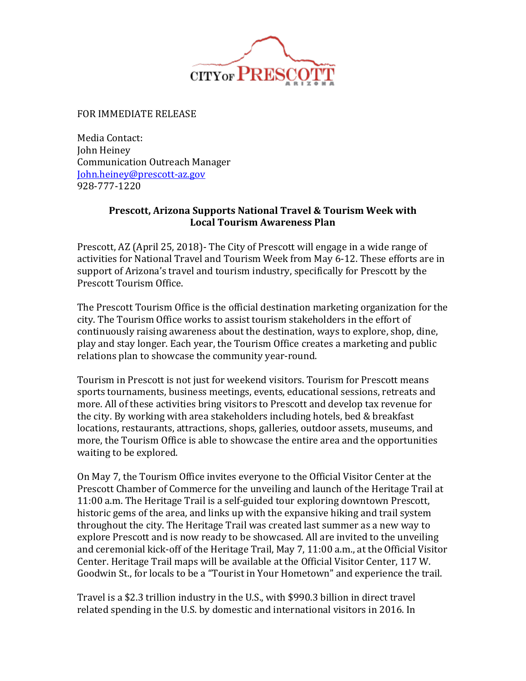

FOR IMMEDIATE RELEASE

Media Contact: John Heiney Communication Outreach Manager [John.heiney@prescott-az.gov](mailto:John.heiney@prescott-az.gov) 928-777-1220

## **Prescott, Arizona Supports National Travel & Tourism Week with Local Tourism Awareness Plan**

Prescott, AZ (April 25, 2018)- The City of Prescott will engage in a wide range of activities for National Travel and Tourism Week from May 6-12. These efforts are in support of Arizona's travel and tourism industry, specifically for Prescott by the Prescott Tourism Office.

The Prescott Tourism Office is the official destination marketing organization for the city. The Tourism Office works to assist tourism stakeholders in the effort of continuously raising awareness about the destination, ways to explore, shop, dine, play and stay longer. Each year, the Tourism Office creates a marketing and public relations plan to showcase the community year-round.

Tourism in Prescott is not just for weekend visitors. Tourism for Prescott means sports tournaments, business meetings, events, educational sessions, retreats and more. All of these activities bring visitors to Prescott and develop tax revenue for the city. By working with area stakeholders including hotels, bed & breakfast locations, restaurants, attractions, shops, galleries, outdoor assets, museums, and more, the Tourism Office is able to showcase the entire area and the opportunities waiting to be explored.

On May 7, the Tourism Office invites everyone to the Official Visitor Center at the Prescott Chamber of Commerce for the unveiling and launch of the Heritage Trail at 11:00 a.m. The Heritage Trail is a self-guided tour exploring downtown Prescott, historic gems of the area, and links up with the expansive hiking and trail system throughout the city. The Heritage Trail was created last summer as a new way to explore Prescott and is now ready to be showcased. All are invited to the unveiling and ceremonial kick-off of the Heritage Trail, May 7, 11:00 a.m., at the Official Visitor Center. Heritage Trail maps will be available at the Official Visitor Center, 117 W. Goodwin St., for locals to be a "Tourist in Your Hometown" and experience the trail.

Travel is a \$2.3 trillion industry in the U.S., with \$990.3 billion in direct travel related spending in the U.S. by domestic and international visitors in 2016. In